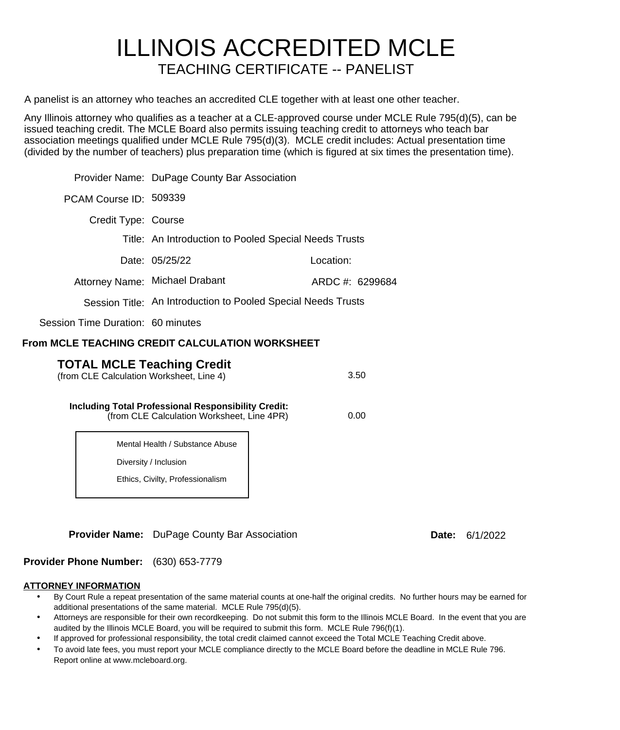# ILLINOIS ACCREDITED MCLE TEACHING CERTIFICATE -- PANELIST

A panelist is an attorney who teaches an accredited CLE together with at least one other teacher.

Any Illinois attorney who qualifies as a teacher at a CLE-approved course under MCLE Rule 795(d)(5), can be issued teaching credit. The MCLE Board also permits issuing teaching credit to attorneys who teach bar association meetings qualified under MCLE Rule 795(d)(3). MCLE credit includes: Actual presentation time (divided by the number of teachers) plus preparation time (which is figured at six times the presentation time).

|                                                                                                                  | Provider Name: DuPage County Bar Association          |                                                               |  |  |  |
|------------------------------------------------------------------------------------------------------------------|-------------------------------------------------------|---------------------------------------------------------------|--|--|--|
|                                                                                                                  |                                                       |                                                               |  |  |  |
| PCAM Course ID: 509339                                                                                           |                                                       |                                                               |  |  |  |
| Credit Type: Course                                                                                              |                                                       |                                                               |  |  |  |
|                                                                                                                  | Title: An Introduction to Pooled Special Needs Trusts |                                                               |  |  |  |
|                                                                                                                  | Date: 05/25/22                                        | Location:                                                     |  |  |  |
|                                                                                                                  | Attorney Name: Michael Drabant                        | ARDC #: 6299684                                               |  |  |  |
|                                                                                                                  |                                                       | Session Title: An Introduction to Pooled Special Needs Trusts |  |  |  |
| Session Time Duration: 60 minutes                                                                                |                                                       |                                                               |  |  |  |
| From MCLE TEACHING CREDIT CALCULATION WORKSHEET                                                                  |                                                       |                                                               |  |  |  |
| <b>TOTAL MCLE Teaching Credit</b><br>3.50<br>(from CLE Calculation Worksheet, Line 4)                            |                                                       |                                                               |  |  |  |
| <b>Including Total Professional Responsibility Credit:</b><br>0.00<br>(from CLE Calculation Worksheet, Line 4PR) |                                                       |                                                               |  |  |  |
|                                                                                                                  | Mental Health / Substance Abuse                       |                                                               |  |  |  |
|                                                                                                                  | Diversity / Inclusion                                 |                                                               |  |  |  |
|                                                                                                                  | Ethics, Civilty, Professionalism                      |                                                               |  |  |  |

**Provider Name:** DuPage County Bar Association

**Date:**  6/1/2022

**Provider Phone Number:** (630) 653-7779

### **ATTORNEY INFORMATION**

- By Court Rule a repeat presentation of the same material counts at one-half the original credits. No further hours may be earned for additional presentations of the same material. MCLE Rule 795(d)(5).
- Attorneys are responsible for their own recordkeeping. Do not submit this form to the Illinois MCLE Board. In the event that you are audited by the Illinois MCLE Board, you will be required to submit this form. MCLE Rule 796(f)(1).
- If approved for professional responsibility, the total credit claimed cannot exceed the Total MCLE Teaching Credit above.
- To avoid late fees, you must report your MCLE compliance directly to the MCLE Board before the deadline in MCLE Rule 796. Report online at www.mcleboard.org.